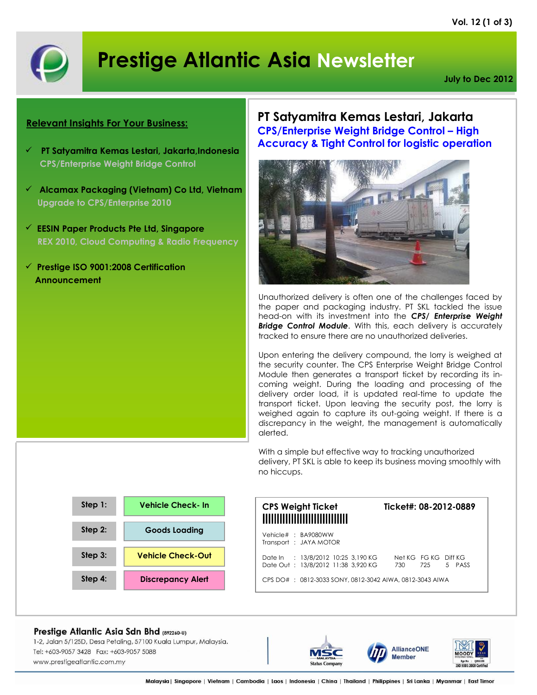

# **Prestige Atlantic Asia Newsletter**

**July to Dec 2012**

### **Relevant Insights For Your Business:**

- **PT Satyamitra Kemas Lestari, Jakarta,Indonesia CPS/Enterprise Weight Bridge Control**
- **Alcamax Packaging (Vietnam) Co Ltd, Vietnam Upgrade to CPS/Enterprise 2010**
- **EESIN Paper Products Pte Ltd, Singapore REX 2010, Cloud Computing & Radio Frequency**
- **Prestige ISO 9001:2008 Certification Announcement**

**PT Satyamitra Kemas Lestari, Jakarta CPS/Enterprise Weight Bridge Control – High Accuracy & Tight Control for logistic operation**



Unauthorized delivery is often one of the challenges faced by the paper and packaging industry. PT SKL tackled the issue head-on with its investment into the *CPS/ Enterprise Weight*  **Bridge Control Module.** With this, each delivery is accurately tracked to ensure there are no unauthorized deliveries.

Upon entering the delivery compound, the lorry is weighed at the security counter. The CPS Enterprise Weight Bridge Control Module then generates a transport ticket by recording its incoming weight. During the loading and processing of the delivery order load, it is updated real-time to update the transport ticket. Upon leaving the security post, the lorry is weighed again to capture its out-going weight. If there is a discrepancy in the weight, the management is automatically alerted.

With a simple but effective way to tracking unauthorized delivery, PT SKL is able to keep its business moving smoothly with no hiccups.



### **CPS Weight Ticket Ticket#: 08-2012-0889** ||||||||||||||||||||||||||||||

|  | Vehicle#: BA9080WW<br>Transport : JAYA MOTOR                             |  |                                       |  |  |
|--|--------------------------------------------------------------------------|--|---------------------------------------|--|--|
|  | Date In : 13/8/2012 10:25 3,190 KG<br>Date Out: 13/8/2012 11:38 3.920 KG |  | Net KG FG KG Diff KG<br>730 725 5 PAS |  |  |

Prestige Atlantic Asia Sdn Bhd (892260-U)

1-2, Jalan 5/125D, Desa Petaling, 57100 Kuala Lumpur, Malaysia. Tel: +603-9057 3428 Fax: +603-9057 5088 www.prestigeatlantic.com.my







5 PASS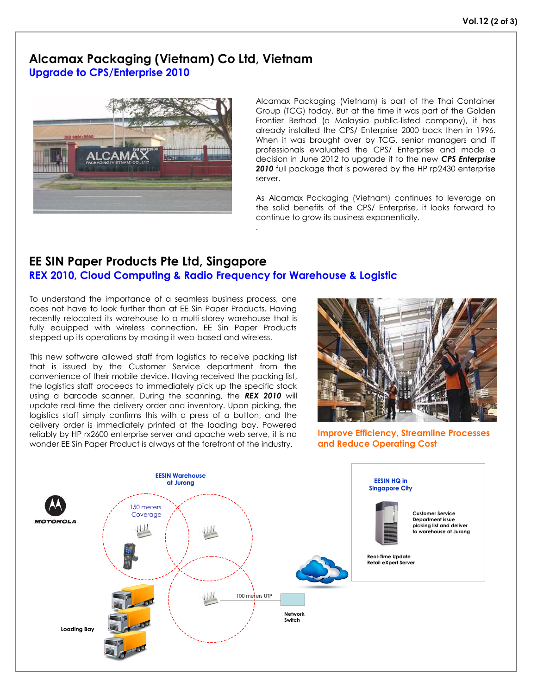### **Alcamax Packaging (Vietnam) Co Ltd, Vietnam Upgrade to CPS/Enterprise 2010**



Alcamax Packaging (Vietnam) is part of the Thai Container Group (TCG) today. But at the time it was part of the Golden Frontier Berhad (a Malaysia public-listed company), it has already installed the CPS/ Enterprise 2000 back then in 1996. When it was brought over by TCG, senior managers and IT professionals evaluated the CPS/ Enterprise and made a decision in June 2012 to upgrade it to the new *CPS Enterprise 2010* full package that is powered by the HP rp2430 enterprise server.

As Alcamax Packaging (Vietnam) continues to leverage on the solid benefits of the CPS/ Enterprise, it looks forward to continue to grow its business exponentially.

### **EE SIN Paper Products Pte Ltd, Singapore REX 2010, Cloud Computing & Radio Frequency for Warehouse & Logistic**

.

To understand the importance of a seamless business process, one does not have to look further than at EE Sin Paper Products. Having recently relocated its warehouse to a multi-storey warehouse that is fully equipped with wireless connection, EE Sin Paper Products stepped up its operations by making it web-based and wireless.

This new software allowed staff from logistics to receive packing list that is issued by the Customer Service department from the convenience of their mobile device. Having received the packing list, the logistics staff proceeds to immediately pick up the specific stock using a barcode scanner. During the scanning, the *REX 2010* will update real-time the delivery order and inventory. Upon picking, the logistics staff simply confirms this with a press of a button, and the delivery order is immediately printed at the loading bay. Powered reliably by HP rx2600 enterprise server and apache web serve, it is no wonder EE Sin Paper Product is always at the forefront of the industry.



**Improve Efficiency, Streamline Processes and Reduce Operating Cost**